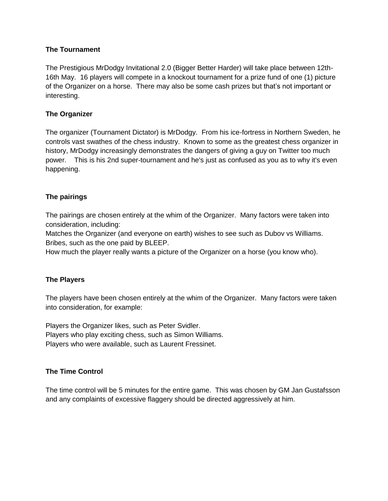#### **The Tournament**

The Prestigious MrDodgy Invitational 2.0 (Bigger Better Harder) will take place between 12th-16th May. 16 players will compete in a knockout tournament for a prize fund of one (1) picture of the Organizer on a horse. There may also be some cash prizes but that's not important or interesting.

### **The Organizer**

The organizer (Tournament Dictator) is MrDodgy. From his ice-fortress in Northern Sweden, he controls vast swathes of the chess industry. Known to some as the greatest chess organizer in history, MrDodgy increasingly demonstrates the dangers of giving a guy on Twitter too much power. This is his 2nd super-tournament and he's just as confused as you as to why it's even happening.

# **The pairings**

The pairings are chosen entirely at the whim of the Organizer. Many factors were taken into consideration, including:

Matches the Organizer (and everyone on earth) wishes to see such as Dubov vs Williams. Bribes, such as the one paid by BLEEP.

How much the player really wants a picture of the Organizer on a horse (you know who).

#### **The Players**

The players have been chosen entirely at the whim of the Organizer. Many factors were taken into consideration, for example:

Players the Organizer likes, such as Peter Svidler. Players who play exciting chess, such as Simon Williams. Players who were available, such as Laurent Fressinet.

#### **The Time Control**

The time control will be 5 minutes for the entire game. This was chosen by GM Jan Gustafsson and any complaints of excessive flaggery should be directed aggressively at him.